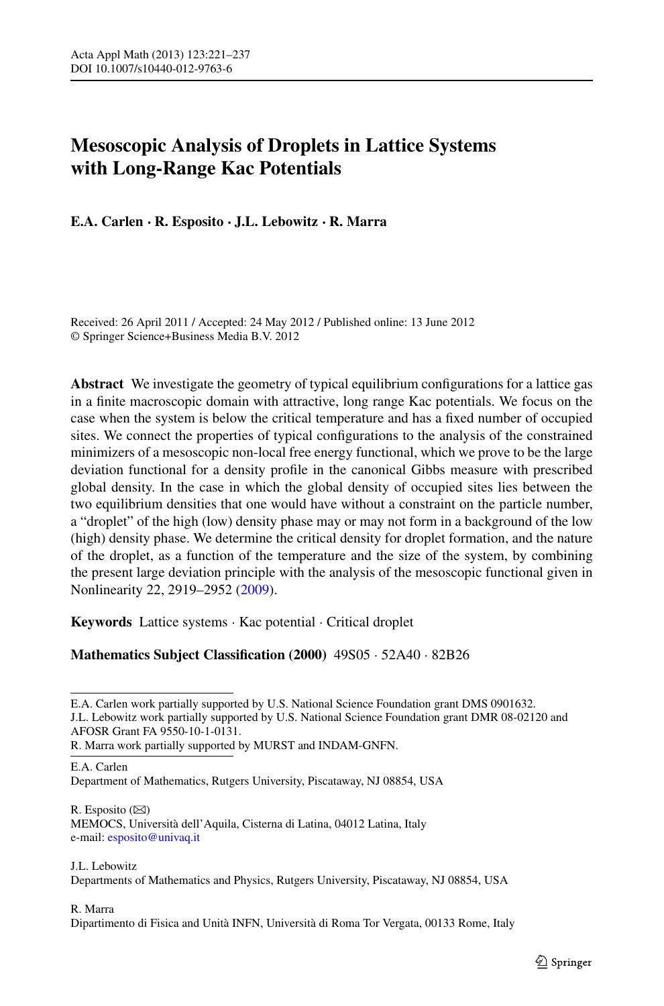# **Mesoscopic Analysis of Droplets in Lattice Systems with Long-Range Kac Potentials**

**E.A. Carlen · R. Esposito · J.L. Lebowitz · R. Marra**

Received: 26 April 2011 / Accepted: 24 May 2012 / Published online: 13 June 2012 © Springer Science+Business Media B.V. 2012

**Abstract** We investigate the geometry of typical equilibrium configurations for a lattice gas in a finite macroscopic domain with attractive, long range Kac potentials. We focus on the case when the system is below the critical temperature and has a fixed number of occupied sites. We connect the properties of typical configurations to the analysis of the constrained minimizers of a mesoscopic non-local free energy functional, which we prove to be the large deviation functional for a density profile in the canonical Gibbs measure with prescribed global density. In the case in which the global density of occupied sites lies between the two equilibrium densities that one would have without a constraint on the particle number, a "droplet" of the high (low) density phase may or may not form in a background of the low (high) density phase. We determine the critical density for droplet formation, and the nature of the droplet, as a function of the temperature and the size of the system, by combining the present large deviation principle with the analysis of the mesoscopic functional given in Nonlinearity 22, 2919–2952 [\(2009](#page-15-0)).

**Keywords** Lattice systems · Kac potential · Critical droplet

# **Mathematics Subject Classification (2000)** 49S05 · 52A40 · 82B26

R. Marra work partially supported by MURST and INDAM-GNFN.

E.A. Carlen

Department of Mathematics, Rutgers University, Piscataway, NJ 08854, USA

 $R.$  Esposito  $(\boxtimes)$ MEMOCS, Università dell'Aquila, Cisterna di Latina, 04012 Latina, Italy e-mail: [esposito@univaq.it](mailto:esposito@univaq.it)

## J.L. Lebowitz

Departments of Mathematics and Physics, Rutgers University, Piscataway, NJ 08854, USA

# R. Marra

Dipartimento di Fisica and Unità INFN, Università di Roma Tor Vergata, 00133 Rome, Italy

E.A. Carlen work partially supported by U.S. National Science Foundation grant DMS 0901632. J.L. Lebowitz work partially supported by U.S. National Science Foundation grant DMR 08-02120 and AFOSR Grant FA 9550-10-1-0131.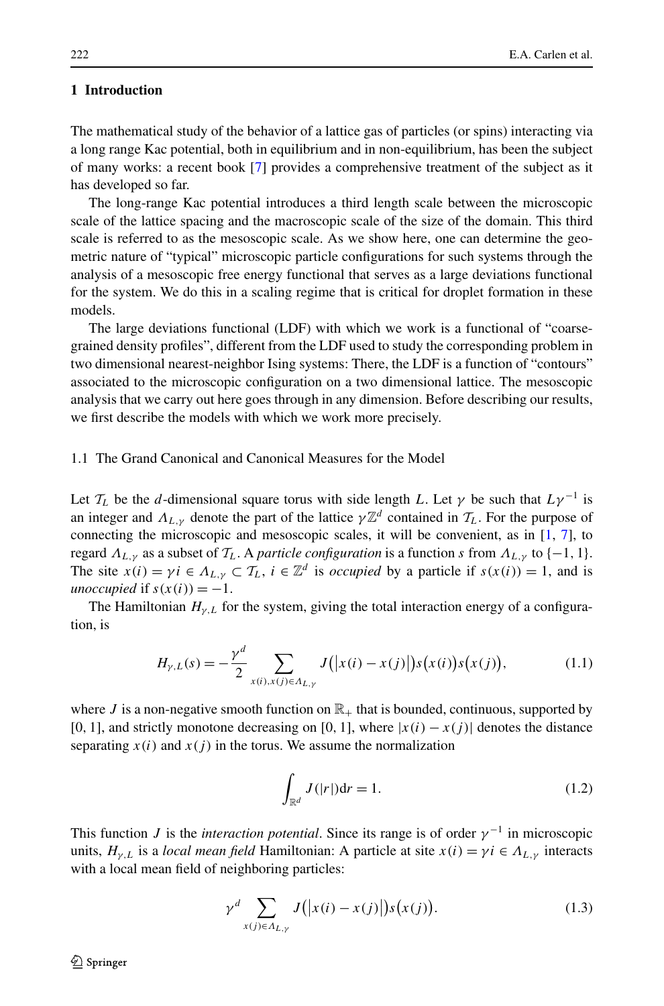## **1 Introduction**

The mathematical study of the behavior of a lattice gas of particles (or spins) interacting via a long range Kac potential, both in equilibrium and in non-equilibrium, has been the subject of many works: a recent book [[7\]](#page-16-0) provides a comprehensive treatment of the subject as it has developed so far.

The long-range Kac potential introduces a third length scale between the microscopic scale of the lattice spacing and the macroscopic scale of the size of the domain. This third scale is referred to as the mesoscopic scale. As we show here, one can determine the geometric nature of "typical" microscopic particle configurations for such systems through the analysis of a mesoscopic free energy functional that serves as a large deviations functional for the system. We do this in a scaling regime that is critical for droplet formation in these models.

The large deviations functional (LDF) with which we work is a functional of "coarsegrained density profiles", different from the LDF used to study the corresponding problem in two dimensional nearest-neighbor Ising systems: There, the LDF is a function of "contours" associated to the microscopic configuration on a two dimensional lattice. The mesoscopic analysis that we carry out here goes through in any dimension. Before describing our results, we first describe the models with which we work more precisely.

## 1.1 The Grand Canonical and Canonical Measures for the Model

Let  $\mathcal{T}_L$  be the *d*-dimensional square torus with side length *L*. Let  $\gamma$  be such that  $L\gamma^{-1}$  is an integer and  $\Lambda_{L,V}$  denote the part of the lattice  $\gamma \mathbb{Z}^d$  contained in  $\mathcal{T}_L$ . For the purpose of connecting the microscopic and mesoscopic scales, it will be convenient, as in  $[1, 7]$  $[1, 7]$  $[1, 7]$  $[1, 7]$  $[1, 7]$ , to regard  $\Lambda_{L,\gamma}$  as a subset of  $\mathcal{T}_L$ . A *particle configuration* is a function *s* from  $\Lambda_{L,\gamma}$  to {-1, 1}. The site  $x(i) = \gamma i \in \Lambda_{L,\gamma} \subset \mathcal{T}_L$ ,  $i \in \mathbb{Z}^d$  is *occupied* by a particle if  $s(x(i)) = 1$ , and is *unoccupied* if  $s(x(i)) = -1$ .

The Hamiltonian  $H_{\gamma,L}$  for the system, giving the total interaction energy of a configuration, is

$$
H_{\gamma,L}(s) = -\frac{\gamma^d}{2} \sum_{x(i),x(j)\in A_{L,\gamma}} J(|x(i) - x(j)|) s(x(i)) s(x(j)),
$$
\n(1.1)

where *J* is a non-negative smooth function on  $\mathbb{R}_+$  that is bounded, continuous, supported by [0, 1], and strictly monotone decreasing on [0, 1], where  $|x(i) - x(j)|$  denotes the distance separating  $x(i)$  and  $x(j)$  in the torus. We assume the normalization

$$
\int_{\mathbb{R}^d} J(|r|) \mathrm{d}r = 1. \tag{1.2}
$$

This function *J* is the *interaction potential*. Since its range is of order  $\gamma^{-1}$  in microscopic units,  $H_{\gamma,L}$  is a *local mean field* Hamiltonian: A particle at site  $x(i) = \gamma i \in \Lambda_{L,\gamma}$  interacts with a local mean field of neighboring particles:

$$
\gamma^d \sum_{x(j)\in A_{L,\gamma}} J(|x(i) - x(j)|) s(x(j)). \tag{1.3}
$$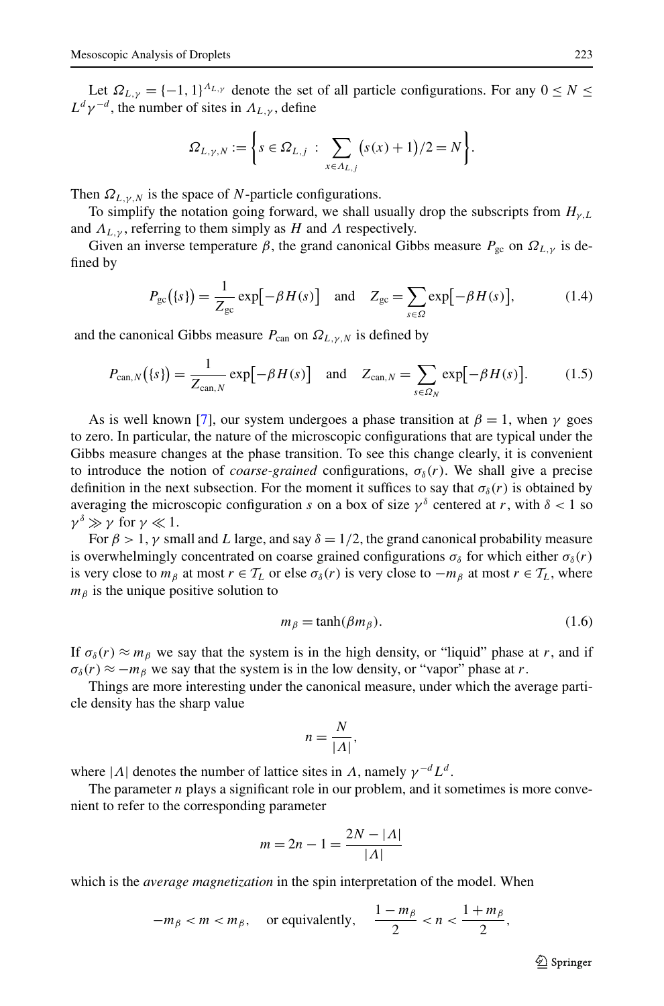Let  $\Omega_{L,\gamma} = \{-1,1\}^{A_{L,\gamma}}$  denote the set of all particle configurations. For any  $0 \leq N \leq$  $L^d \gamma^{-d}$ , the number of sites in  $\Lambda_{L,\gamma}$ , define

$$
\Omega_{L,\gamma,N} := \left\{ s \in \Omega_{L,j} \; : \; \sum_{x \in \Lambda_{L,j}} (s(x) + 1)/2 = N \right\}.
$$

Then  $\Omega_{L,\gamma,N}$  is the space of *N*-particle configurations.

To simplify the notation going forward, we shall usually drop the subscripts from  $H_{\nu,L}$ and  $\Lambda_{L,V}$ , referring to them simply as *H* and  $\Lambda$  respectively.

Given an inverse temperature  $\beta$ , the grand canonical Gibbs measure  $P_{gc}$  on  $\Omega_{L,V}$  is defined by

$$
P_{\rm gc}(\{s\}) = \frac{1}{Z_{\rm gc}} \exp\left[-\beta H(s)\right] \quad \text{and} \quad Z_{\rm gc} = \sum_{s \in \Omega} \exp\left[-\beta H(s)\right],\tag{1.4}
$$

and the canonical Gibbs measure  $P_{\text{can}}$  on  $\Omega_{L,\gamma,N}$  is defined by

$$
P_{\text{can},N}(\{s\}) = \frac{1}{Z_{\text{can},N}} \exp[-\beta H(s)] \quad \text{and} \quad Z_{\text{can},N} = \sum_{s \in \Omega_N} \exp[-\beta H(s)]. \tag{1.5}
$$

As is well known [[7\]](#page-16-0), our system undergoes a phase transition at  $\beta = 1$ , when  $\gamma$  goes to zero. In particular, the nature of the microscopic configurations that are typical under the Gibbs measure changes at the phase transition. To see this change clearly, it is convenient to introduce the notion of *coarse-grained* configurations,  $\sigma_{\delta}(r)$ . We shall give a precise definition in the next subsection. For the moment it suffices to say that  $\sigma_{\delta}(r)$  is obtained by averaging the microscopic configuration *s* on a box of size  $\gamma^{\delta}$  centered at *r*, with  $\delta$  < 1 so  $\gamma^{\delta} \gg \gamma$  for  $\gamma \ll 1$ .

For  $\beta > 1$ ,  $\gamma$  small and *L* large, and say  $\delta = 1/2$ , the grand canonical probability measure is overwhelmingly concentrated on coarse grained configurations  $\sigma_{\delta}$  for which either  $\sigma_{\delta}(r)$ is very close to  $m_\beta$  at most  $r \in \mathcal{T}_L$  or else  $\sigma_\delta(r)$  is very close to  $-m_\beta$  at most  $r \in \mathcal{T}_L$ , where  $m<sub>β</sub>$  is the unique positive solution to

$$
m_{\beta} = \tanh(\beta m_{\beta}).\tag{1.6}
$$

If  $\sigma_{\delta}(r) \approx m_{\beta}$  we say that the system is in the high density, or "liquid" phase at *r*, and if  $\sigma_{\delta}(r) \approx -m_{\beta}$  we say that the system is in the low density, or "vapor" phase at *r*.

Things are more interesting under the canonical measure, under which the average particle density has the sharp value

$$
n = \frac{N}{|A|},
$$

where  $|A|$  denotes the number of lattice sites in *Λ*, namely  $\gamma^{-d}L^d$ .

The parameter *n* plays a significant role in our problem, and it sometimes is more convenient to refer to the corresponding parameter

$$
m = 2n - 1 = \frac{2N - |A|}{|A|}
$$

which is the *average magnetization* in the spin interpretation of the model. When

$$
-m_{\beta} < m < m_{\beta}, \quad \text{or equivalently,} \quad \frac{1 - m_{\beta}}{2} < n < \frac{1 + m_{\beta}}{2},
$$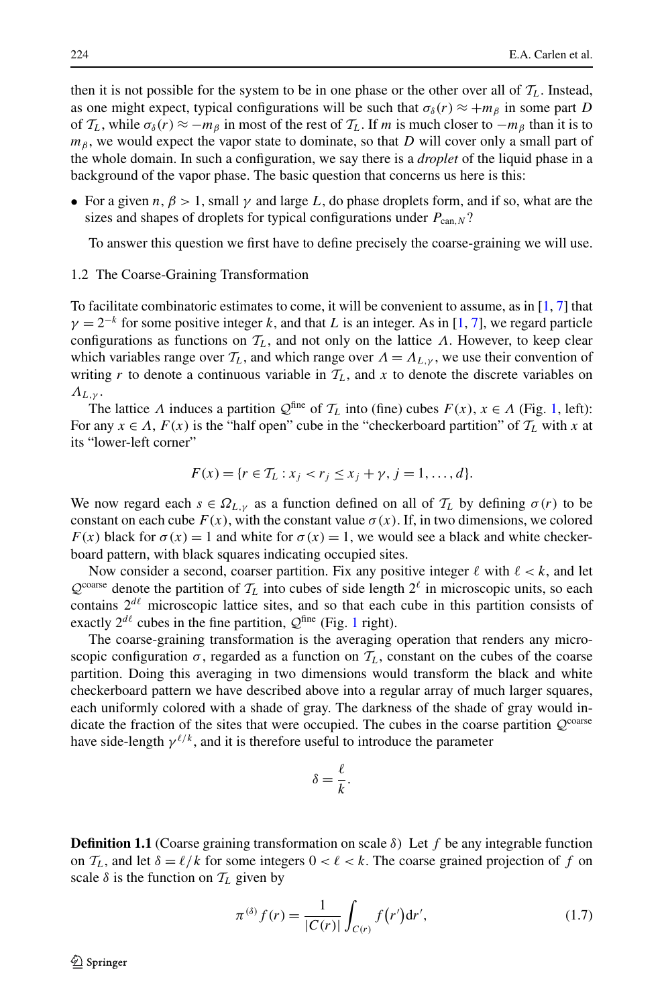then it is not possible for the system to be in one phase or the other over all of  $T_L$ . Instead, as one might expect, typical configurations will be such that  $\sigma_{\delta}(r) \approx +m_{\beta}$  in some part *D* of  $\mathcal{T}_L$ , while  $\sigma_\delta(r) \approx -m_\beta$  in most of the rest of  $\mathcal{T}_L$ . If *m* is much closer to  $-m_\beta$  than it is to *m*<sup>β</sup>, we would expect the vapor state to dominate, so that *D* will cover only a small part of the whole domain. In such a configuration, we say there is a *droplet* of the liquid phase in a background of the vapor phase. The basic question that concerns us here is this:

• For a given  $n, \beta > 1$ , small  $\gamma$  and large L, do phase droplets form, and if so, what are the sizes and shapes of droplets for typical configurations under  $P_{can,N}$ ?

To answer this question we first have to define precisely the coarse-graining we will use.

## 1.2 The Coarse-Graining Transformation

To facilitate combinatoric estimates to come, it will be convenient to assume, as in [\[1](#page-15-1), [7](#page-16-0)] that  $\gamma = 2^{-k}$  for some positive integer *k*, and that *L* is an integer. As in [[1](#page-15-1), [7\]](#page-16-0), we regard particle configurations as functions on  $T_L$ , and not only on the lattice  $\Lambda$ . However, to keep clear which variables range over  $T_L$ , and which range over  $\Lambda = \Lambda_{L,\gamma}$ , we use their convention of writing *r* to denote a continuous variable in  $T_L$ , and *x* to denote the discrete variables on *ΛL,γ* .

The lattice *Λ* induces a partition  $Q^{\text{fine}}$  of  $\mathcal{T}_L$  into (fine) cubes  $F(x)$ ,  $x \in \Lambda$  (Fig. [1](#page-4-0), left): For any  $x \in \Lambda$ ,  $F(x)$  is the "half open" cube in the "checkerboard partition" of  $T_L$  with x at its "lower-left corner"

$$
F(x) = \{r \in T_L : x_j < r_j \le x_j + \gamma, j = 1, \dots, d\}.
$$

We now regard each  $s \in \Omega_{L,v}$  as a function defined on all of  $\mathcal{T}_L$  by defining  $\sigma(r)$  to be constant on each cube  $F(x)$ , with the constant value  $\sigma(x)$ . If, in two dimensions, we colored *F(x)* black for  $\sigma(x) = 1$  and white for  $\sigma(x) = 1$ , we would see a black and white checkerboard pattern, with black squares indicating occupied sites.

Now consider a second, coarser partition. Fix any positive integer  $\ell$  with  $\ell < k$ , and let  $Q^{\text{coarse}}$  denote the partition of  $T_L$  into cubes of side length  $2^{\ell}$  in microscopic units, so each contains  $2^{d\ell}$  microscopic lattice sites, and so that each cube in this partition consists of exactly  $2^{d\ell}$  cubes in the fine partition,  $\mathcal{Q}^{\text{fine}}$  (Fig. [1](#page-4-0) right).

The coarse-graining transformation is the averaging operation that renders any microscopic configuration  $\sigma$ , regarded as a function on  $T_L$ , constant on the cubes of the coarse partition. Doing this averaging in two dimensions would transform the black and white checkerboard pattern we have described above into a regular array of much larger squares, each uniformly colored with a shade of gray. The darkness of the shade of gray would indicate the fraction of the sites that were occupied. The cubes in the coarse partition  $Q^{\text{coarse}}$ have side-length  $\gamma^{\ell/k}$ , and it is therefore useful to introduce the parameter

$$
\delta = \frac{\ell}{k}.
$$

**Definition 1.1** (Coarse graining transformation on scale *δ*) Let *f* be any integrable function on  $T_L$ , and let  $\delta = \ell/k$  for some integers  $0 < \ell < k$ . The coarse grained projection of f on scale  $\delta$  is the function on  $T_L$  given by

$$
\pi^{(\delta)} f(r) = \frac{1}{|C(r)|} \int_{C(r)} f(r') dr', \qquad (1.7)
$$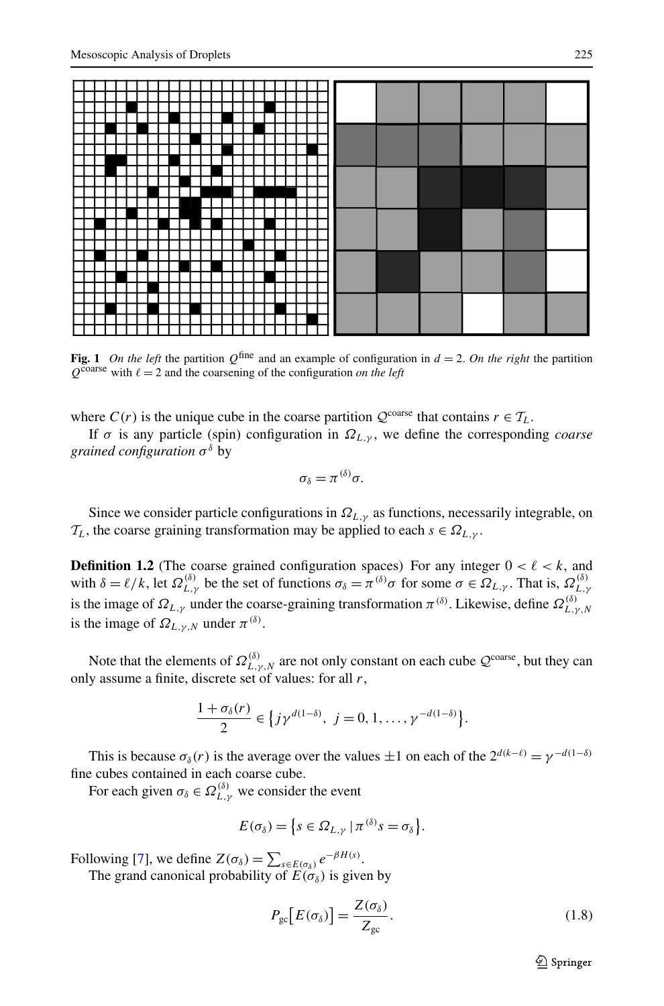

<span id="page-4-0"></span>**Fig. 1** *On the left* the partition  $Q^{\text{fine}}$  and an example of configuration in  $d = 2$ . *On the right* the partition  $Q^{\text{coarse}}$  with  $\ell = 2$  and the coarsening of the configuration *on the left* 

where  $C(r)$  is the unique cube in the coarse partition  $Q^{\text{coarse}}$  that contains  $r \in T_L$ .

If *σ* is any particle (spin) configuration in *ΩL,γ* , we define the corresponding *coarse grained configuration σ<sup>δ</sup>* by

$$
\sigma_{\delta}=\pi^{(\delta)}\sigma.
$$

Since we consider particle configurations in  $\Omega_{L,\gamma}$  as functions, necessarily integrable, on  $\mathcal{T}_L$ , the coarse graining transformation may be applied to each  $s \in \Omega_{L,\gamma}$ .

**Definition 1.2** (The coarse grained configuration spaces) For any integer  $0 < \ell < k$ , and with  $\delta = \ell/k$ , let  $\Omega_{L,\gamma}^{(\delta)}$  be the set of functions  $\sigma_{\delta} = \pi^{(\delta)}\sigma$  for some  $\sigma \in \Omega_{L,\gamma}$ . That is,  $\Omega_{L,\gamma}^{(\delta)}$ is the image of  $\Omega_{L,\gamma}$  under the coarse-graining transformation  $\pi^{(\delta)}$ . Likewise, define  $\Omega_{L,\gamma,N}^{(\delta)}$ is the image of  $\Omega_{L, \gamma, N}$  under  $\pi^{(\delta)}$ .

Note that the elements of  $\Omega_{L,\gamma,N}^{(\delta)}$  are not only constant on each cube  $\mathcal{Q}^{\text{coarse}}$ , but they can only assume a finite, discrete set of values: for all *r*,

$$
\frac{1+\sigma_{\delta}(r)}{2} \in \left\{ j\gamma^{d(1-\delta)}, \ j=0,1,\ldots,\gamma^{-d(1-\delta)} \right\}.
$$

This is because  $\sigma_{\delta}(r)$  is the average over the values  $\pm 1$  on each of the  $2^{d(k-\ell)} = \gamma^{-d(1-\delta)}$ fine cubes contained in each coarse cube.

For each given  $\sigma_{\delta} \in \Omega_{L,\gamma}^{(\delta)}$  we consider the event

$$
E(\sigma_{\delta}) = \{s \in \Omega_{L,\gamma} | \pi^{(\delta)}s = \sigma_{\delta}\}.
$$

Following [[7\]](#page-16-0), we define  $Z(\sigma_{\delta}) = \sum_{s \in E(\sigma_{\delta})} e^{-\beta H(s)}$ .

The grand canonical probability of  $E(\sigma_{\delta})$  is given by

<span id="page-4-1"></span>
$$
P_{\rm gc}\left[E(\sigma_{\delta})\right] = \frac{Z(\sigma_{\delta})}{Z_{\rm gc}}.\tag{1.8}
$$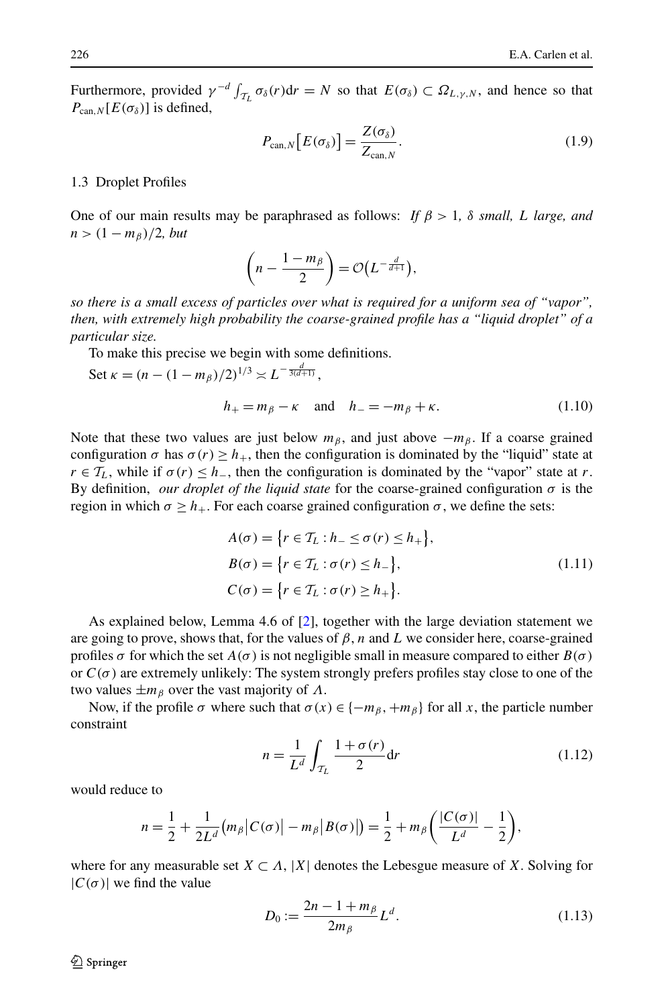Furthermore, provided  $\gamma^{-d} \int_{\mathcal{T}_L} \sigma_{\delta}(r) dr = N$  so that  $E(\sigma_{\delta}) \subset \Omega_{L,\gamma,N}$ , and hence so that  $P_{\text{can,}N}[E(\sigma_{\delta})]$  is defined,

<span id="page-5-1"></span>
$$
P_{\text{can},N}\big[E(\sigma_{\delta})\big]=\frac{Z(\sigma_{\delta})}{Z_{\text{can},N}}.\tag{1.9}
$$

#### 1.3 Droplet Profiles

One of our main results may be paraphrased as follows: *If*  $\beta > 1$ ,  $\delta$  *small, L large, and*  $n>(1 - m<sub>\beta</sub>)/2$ *, but* 

$$
\left(n-\frac{1-m_{\beta}}{2}\right)=\mathcal{O}\left(L^{-\frac{d}{d+1}}\right),\,
$$

*so there is a small excess of particles over what is required for a uniform sea of "vapor", then, with extremely high probability the coarse-grained profile has a "liquid droplet" of a particular size.*

To make this precise we begin with some definitions.

<span id="page-5-3"></span>Set 
$$
\kappa = (n - (1 - m_{\beta})/2)^{1/3} \asymp L^{-\frac{d}{3(d+1)}},
$$
  
\n $h_{+} = m_{\beta} - \kappa \text{ and } h_{-} = -m_{\beta} + \kappa.$  (1.10)

Note that these two values are just below  $m_\beta$ , and just above  $-m_\beta$ . If a coarse grained configuration  $\sigma$  has  $\sigma(r) \geq h_+$ , then the configuration is dominated by the "liquid" state at  $r \in \mathcal{T}_L$ , while if  $\sigma(r) \leq h$ , then the configuration is dominated by the "vapor" state at *r*. By definition, *our droplet of the liquid state* for the coarse-grained configuration  $\sigma$  is the region in which  $\sigma \geq h_{+}$ . For each coarse grained configuration *σ*, we define the sets:

$$
A(\sigma) = \{r \in T_L : h_- \le \sigma(r) \le h_+\},
$$
  
\n
$$
B(\sigma) = \{r \in T_L : \sigma(r) \le h_-\},
$$
  
\n
$$
C(\sigma) = \{r \in T_L : \sigma(r) \ge h_+\}.
$$
\n(1.11)

As explained below, Lemma 4.6 of [[2](#page-15-0)], together with the large deviation statement we are going to prove, shows that, for the values of  $\beta$ , *n* and *L* we consider here, coarse-grained profiles  $\sigma$  for which the set  $A(\sigma)$  is not negligible small in measure compared to either  $B(\sigma)$ or  $C(\sigma)$  are extremely unlikely: The system strongly prefers profiles stay close to one of the two values  $\pm m_\beta$  over the vast majority of  $\Lambda$ .

Now, if the profile  $\sigma$  where such that  $\sigma(x) \in \{-m_\beta, +m_\beta\}$  for all x, the particle number constraint

<span id="page-5-2"></span><span id="page-5-0"></span>
$$
n = \frac{1}{L^d} \int_{\mathcal{T}_L} \frac{1 + \sigma(r)}{2} dr \tag{1.12}
$$

would reduce to

$$
n=\frac{1}{2}+\frac{1}{2L^d}\big(m_\beta\big|C(\sigma)\big|-m_\beta\big|B(\sigma)\big|\big)=\frac{1}{2}+m_\beta\bigg(\frac{|C(\sigma)|}{L^d}-\frac{1}{2}\bigg),
$$

where for any measurable set  $X \subset \Lambda$ , |X| denotes the Lebesgue measure of X. Solving for  $|C(\sigma)|$  we find the value

$$
D_0 := \frac{2n - 1 + m_\beta}{2m_\beta} L^d.
$$
 (1.13)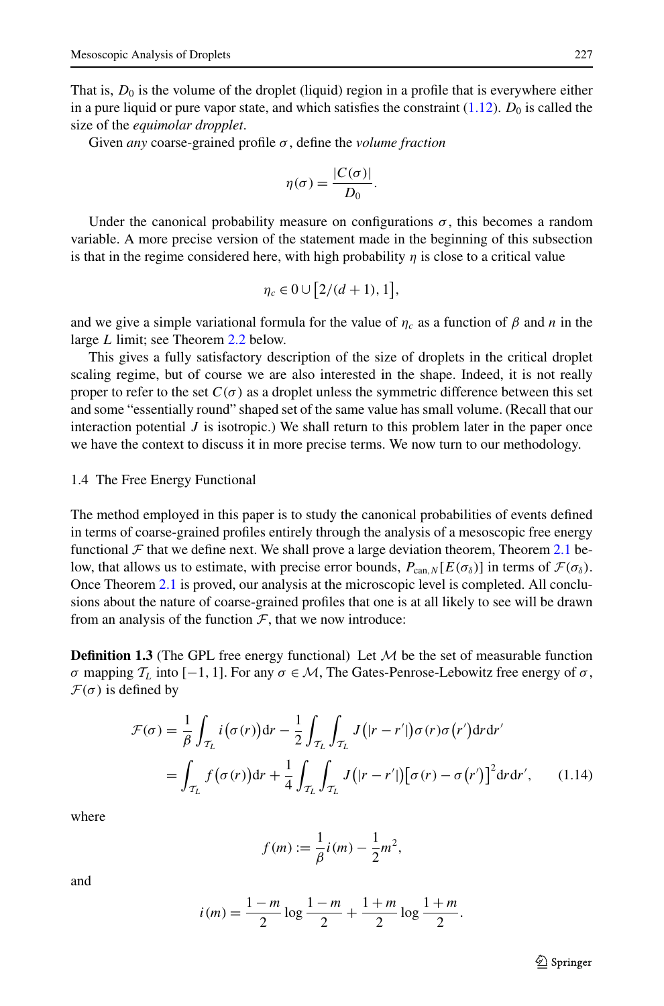That is,  $D_0$  is the volume of the droplet (liquid) region in a profile that is everywhere either in a pure liquid or pure vapor state, and which satisfies the constraint  $(1.12)$  $(1.12)$  $(1.12)$ .  $D_0$  is called the size of the *equimolar dropplet*.

Given *any* coarse-grained profile *σ* , define the *volume fraction*

$$
\eta(\sigma) = \frac{|C(\sigma)|}{D_0}.
$$

Under the canonical probability measure on configurations  $\sigma$ , this becomes a random variable. A more precise version of the statement made in the beginning of this subsection is that in the regime considered here, with high probability  $\eta$  is close to a critical value

$$
\eta_c \in 0 \cup [2/(d+1), 1],
$$

and we give a simple variational formula for the value of  $\eta_c$  as a function of  $\beta$  and *n* in the large *L* limit; see Theorem [2.2](#page-8-0) below.

This gives a fully satisfactory description of the size of droplets in the critical droplet scaling regime, but of course we are also interested in the shape. Indeed, it is not really proper to refer to the set  $C(\sigma)$  as a droplet unless the symmetric difference between this set and some "essentially round" shaped set of the same value has small volume. (Recall that our interaction potential  $J$  is isotropic.) We shall return to this problem later in the paper once we have the context to discuss it in more precise terms. We now turn to our methodology.

#### 1.4 The Free Energy Functional

The method employed in this paper is to study the canonical probabilities of events defined in terms of coarse-grained profiles entirely through the analysis of a mesoscopic free energy functional  $\mathcal F$  that we define next. We shall prove a large deviation theorem, Theorem [2.1](#page-7-0) below, that allows us to estimate, with precise error bounds,  $P_{can,N}[E(\sigma_{\delta})]$  in terms of  $\mathcal{F}(\sigma_{\delta})$ . Once Theorem [2.1](#page-7-0) is proved, our analysis at the microscopic level is completed. All conclusions about the nature of coarse-grained profiles that one is at all likely to see will be drawn from an analysis of the function  $F$ , that we now introduce:

<span id="page-6-0"></span>**Definition 1.3** (The GPL free energy functional) Let  $M$  be the set of measurable function *σ* mapping  $\mathcal{T}_L$  into [−1, 1]. For any *σ* ∈ *M*, The Gates-Penrose-Lebowitz free energy of *σ*,  $\mathcal{F}(\sigma)$  is defined by

$$
\mathcal{F}(\sigma) = \frac{1}{\beta} \int_{\mathcal{T}_L} i(\sigma(r)) dr - \frac{1}{2} \int_{\mathcal{T}_L} \int_{\mathcal{T}_L} J(|r - r'|) \sigma(r) \sigma(r') dr dr'
$$
  
= 
$$
\int_{\mathcal{T}_L} f(\sigma(r)) dr + \frac{1}{4} \int_{\mathcal{T}_L} \int_{\mathcal{T}_L} J(|r - r'|) [\sigma(r) - \sigma(r')]^2 dr dr', \qquad (1.14)
$$

where

$$
f(m) := \frac{1}{\beta}i(m) - \frac{1}{2}m^2,
$$

and

$$
i(m) = \frac{1-m}{2} \log \frac{1-m}{2} + \frac{1+m}{2} \log \frac{1+m}{2}.
$$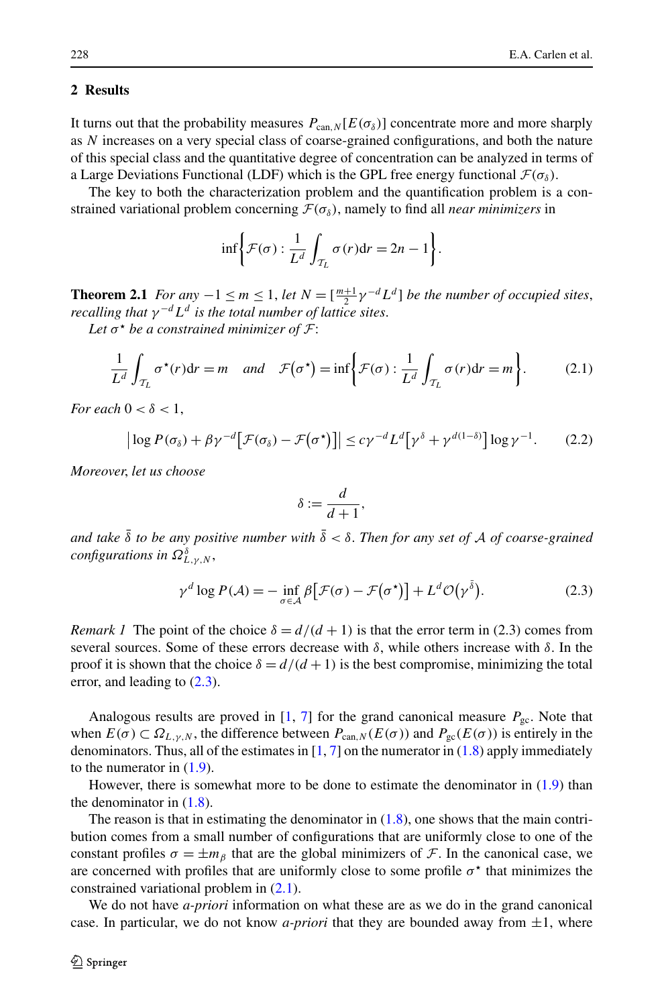## **2 Results**

<span id="page-7-0"></span>It turns out that the probability measures  $P_{\text{can,}N}[E(\sigma_{\delta})]$  concentrate more and more sharply as *N* increases on a very special class of coarse-grained configurations, and both the nature of this special class and the quantitative degree of concentration can be analyzed in terms of a Large Deviations Functional (LDF) which is the GPL free energy functional  $\mathcal{F}(\sigma_{\delta})$ .

The key to both the characterization problem and the quantification problem is a constrained variational problem concerning  $\mathcal{F}(\sigma_{\delta})$ , namely to find all *near minimizers* in

<span id="page-7-2"></span>
$$
\inf \biggl\{ \mathcal{F}(\sigma) : \frac{1}{L^d} \int_{\mathcal{T}_L} \sigma(r) dr = 2n - 1 \biggr\}.
$$

**Theorem 2.1** *For any*  $-1 \le m \le 1$ , *let*  $N = \left[\frac{m+1}{2}\gamma^{-d}L^d\right]$  *be the number of occupied sites*, *recalling that*  $\gamma^{-d} L^d$  *is the total number of lattice sites.* 

*Let σ be a constrained minimizer of* F:

$$
\frac{1}{L^d} \int_{\mathcal{T}_L} \sigma^{\star}(r) dr = m \quad and \quad \mathcal{F}(\sigma^{\star}) = \inf \bigg\{ \mathcal{F}(\sigma) : \frac{1}{L^d} \int_{\mathcal{T}_L} \sigma(r) dr = m \bigg\}.
$$
 (2.1)

*For each*  $0 < \delta < 1$ ,

$$
\left| \log P(\sigma_{\delta}) + \beta \gamma^{-d} \left[ \mathcal{F}(\sigma_{\delta}) - \mathcal{F}(\sigma^{\star}) \right] \right| \leq c \gamma^{-d} L^{d} \left[ \gamma^{\delta} + \gamma^{d(1-\delta)} \right] \log \gamma^{-1}.
$$
 (2.2)

*Moreover*, *let us choose*

<span id="page-7-1"></span>
$$
\delta := \frac{d}{d+1},
$$

*and take*  $\bar{\delta}$  *to be any positive number with*  $\bar{\delta} < \delta$ . *Then for any set of* A *of coarse-grained configurations in Ω<sup>δ</sup> L,γ,N* ,

$$
\gamma^{d} \log P(\mathcal{A}) = - \inf_{\sigma \in \mathcal{A}} \beta \big[ \mathcal{F}(\sigma) - \mathcal{F}(\sigma^{*}) \big] + L^{d} \mathcal{O}(\gamma^{\delta}). \tag{2.3}
$$

*Remark 1* The point of the choice  $\delta = d/(d+1)$  is that the error term in (2.3) comes from several sources. Some of these errors decrease with *δ*, while others increase with *δ*. In the proof it is shown that the choice  $\delta = d/(d+1)$  is the best compromise, minimizing the total error, and leading to ([2.3\)](#page-7-1).

Analogous results are proved in  $[1, 7]$  $[1, 7]$  $[1, 7]$  $[1, 7]$  for the grand canonical measure  $P_{gc}$ . Note that when  $E(\sigma) \subset \Omega_{L,\gamma,N}$ , the difference between  $P_{\text{can},N}(E(\sigma))$  and  $P_{\text{gc}}(E(\sigma))$  is entirely in the denominators. Thus, all of the estimates in  $[1, 7]$  $[1, 7]$  $[1, 7]$  on the numerator in  $(1.8)$  $(1.8)$  $(1.8)$  apply immediately to the numerator in  $(1.9)$  $(1.9)$  $(1.9)$ .

However, there is somewhat more to be done to estimate the denominator in  $(1.9)$  $(1.9)$  than the denominator in  $(1.8)$  $(1.8)$ .

The reason is that in estimating the denominator in  $(1.8)$ , one shows that the main contribution comes from a small number of configurations that are uniformly close to one of the constant profiles  $\sigma = \pm m_\beta$  that are the global minimizers of F. In the canonical case, we are concerned with profiles that are uniformly close to some profile  $\sigma^*$  that minimizes the constrained variational problem in [\(2.1](#page-7-2)).

We do not have *a-priori* information on what these are as we do in the grand canonical case. In particular, we do not know *a-priori* that they are bounded away from  $\pm 1$ , where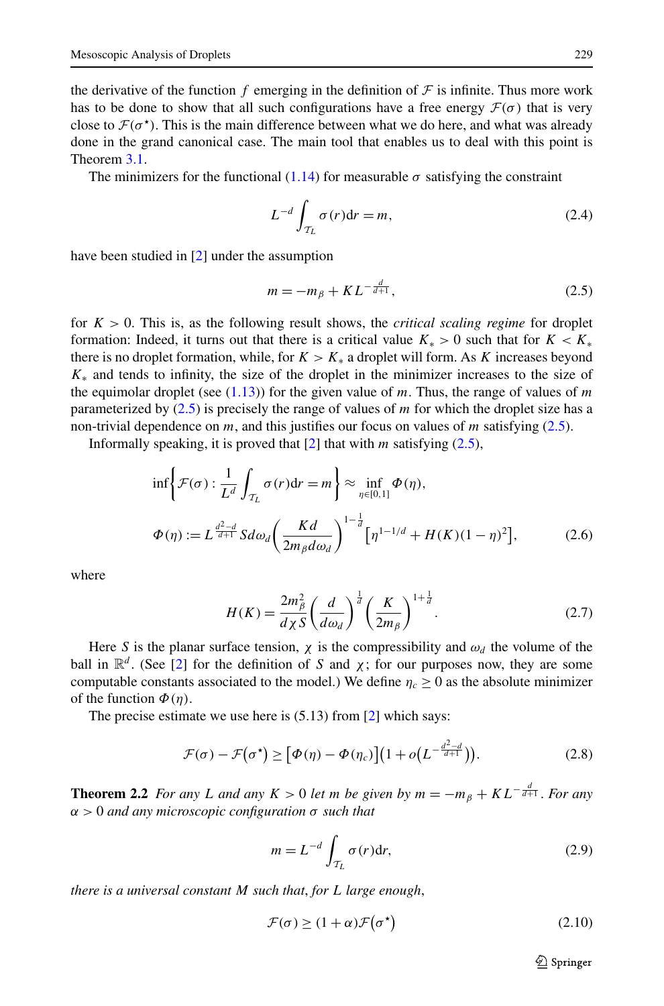the derivative of the function  $f$  emerging in the definition of  $\mathcal F$  is infinite. Thus more work has to be done to show that all such configurations have a free energy  $\mathcal{F}(\sigma)$  that is very close to  $\mathcal{F}(\sigma^*)$ . This is the main difference between what we do here, and what was already done in the grand canonical case. The main tool that enables us to deal with this point is Theorem [3.1](#page-10-0).

The minimizers for the functional [\(1.14\)](#page-6-0) for measurable  $\sigma$  satisfying the constraint

<span id="page-8-1"></span>
$$
L^{-d} \int_{\mathcal{T}_L} \sigma(r) dr = m,\tag{2.4}
$$

have been studied in [[2](#page-15-0)] under the assumption

<span id="page-8-4"></span>
$$
m = -m_{\beta} + KL^{-\frac{d}{d+1}},\tag{2.5}
$$

for  $K > 0$ . This is, as the following result shows, the *critical scaling regime* for droplet formation: Indeed, it turns out that there is a critical value  $K_* > 0$  such that for  $K < K_*$ there is no droplet formation, while, for  $K > K_*$  a droplet will form. As *K* increases beyond *K*<sup>∗</sup> and tends to infinity, the size of the droplet in the minimizer increases to the size of the equimolar droplet (see  $(1.13)$  $(1.13)$  $(1.13)$ ) for the given value of *m*. Thus, the range of values of *m* parameterized by ([2.5\)](#page-8-1) is precisely the range of values of *m* for which the droplet size has a non-trivial dependence on *m*, and this justifies our focus on values of *m* satisfying ([2.5](#page-8-1)).

Informally speaking, it is proved that  $[2]$  $[2]$  that with *m* satisfying  $(2.5)$  $(2.5)$  $(2.5)$ ,

$$
\inf \left\{ \mathcal{F}(\sigma) : \frac{1}{L^d} \int_{\mathcal{T}_L} \sigma(r) dr = m \right\} \approx \inf_{\eta \in [0,1]} \Phi(\eta),
$$
  

$$
\Phi(\eta) := L^{\frac{d^2-d}{d+1}} S d\omega_d \left( \frac{Kd}{2m_\beta d\omega_d} \right)^{1-\frac{1}{d}} \left[ \eta^{1-1/d} + H(K)(1-\eta)^2 \right],
$$
(2.6)

where

<span id="page-8-3"></span>
$$
H(K) = \frac{2m_{\beta}^{2}}{d\chi S} \left(\frac{d}{d\omega_{d}}\right)^{\frac{1}{d}} \left(\frac{K}{2m_{\beta}}\right)^{1+\frac{1}{d}}.\tag{2.7}
$$

<span id="page-8-0"></span>Here *S* is the planar surface tension,  $\chi$  is the compressibility and  $\omega_d$  the volume of the ball in  $\mathbb{R}^d$ . (See [\[2\]](#page-15-0) for the definition of *S* and  $\chi$ ; for our purposes now, they are some computable constants associated to the model.) We define  $\eta_c \ge 0$  as the absolute minimizer of the function  $\Phi(\eta)$ .

The precise estimate we use here is (5.13) from [[2\]](#page-15-0) which says:

$$
\mathcal{F}(\sigma) - \mathcal{F}\big(\sigma^{\star}\big) \geq \big[\Phi(\eta) - \Phi(\eta_c)\big]\big(1 + o\big(L^{-\frac{d^2 - d}{d+1}}\big)\big). \tag{2.8}
$$

**Theorem 2.2** *For any L and any*  $K > 0$  *let m be given by*  $m = -m<sub>\beta</sub> + KL^{-\frac{d}{d+1}}$ *. For any α >* 0 *and any microscopic configuration σ such that*

<span id="page-8-2"></span>
$$
m = L^{-d} \int_{\mathcal{T}_L} \sigma(r) dr,
$$
\n(2.9)

*there is a universal constant M such that*, *for L large enough*,

$$
\mathcal{F}(\sigma) \ge (1 + \alpha)\mathcal{F}(\sigma^*)
$$
\n(2.10)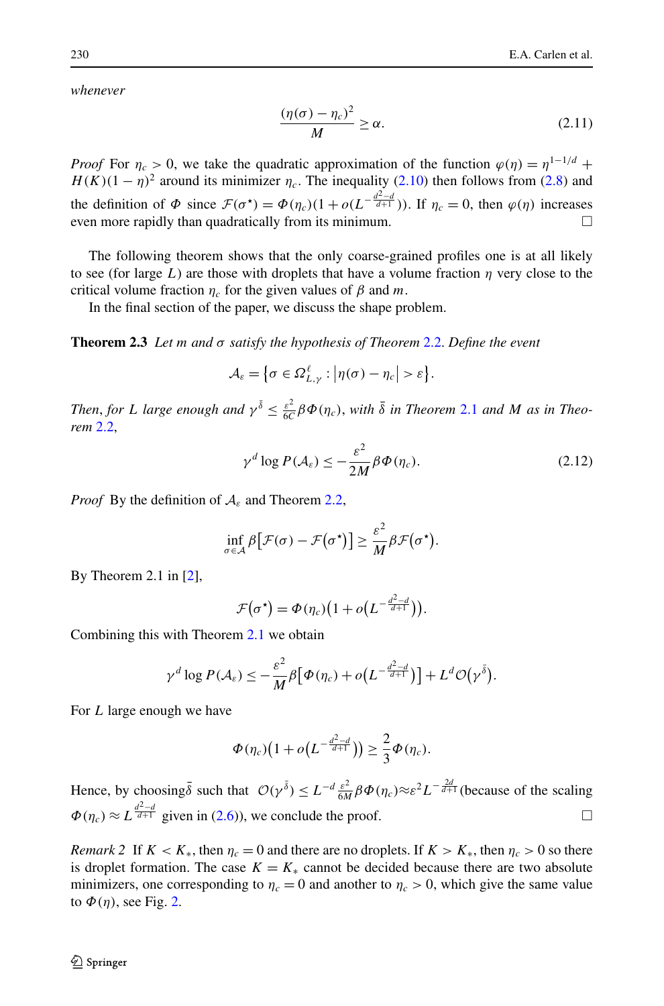*whenever*

$$
\frac{(\eta(\sigma) - \eta_c)^2}{M} \ge \alpha.
$$
 (2.11)

*Proof* For  $\eta_c > 0$ , we take the quadratic approximation of the function  $\varphi(\eta) = \eta^{1-1/d}$  +  $H(K)(1 - \eta)^2$  around its minimizer  $\eta_c$ . The inequality ([2.10](#page-8-2)) then follows from [\(2.8\)](#page-8-3) and the definition of  $\Phi$  since  $\mathcal{F}(\sigma^*) = \Phi(\eta_c)(1 + o(L^{-\frac{d^2-d}{d+1}}))$ . If  $\eta_c = 0$ , then  $\varphi(\eta)$  increases even more rapidly than quadratically from its minimum.  $\Box$ 

The following theorem shows that the only coarse-grained profiles one is at all likely to see (for large *L*) are those with droplets that have a volume fraction  $\eta$  very close to the critical volume fraction  $\eta_c$  for the given values of  $\beta$  and  $m$ .

In the final section of the paper, we discuss the shape problem.

**Theorem 2.3** *Let m and σ satisfy the hypothesis of Theorem* [2.2](#page-8-0). *Define the event*

$$
\mathcal{A}_{\varepsilon} = \big\{ \sigma \in \Omega_{L,\gamma}^{\ell} : \big| \eta(\sigma) - \eta_c \big| > \varepsilon \big\}.
$$

*Then, for L large enough and*  $\gamma^{\bar{\delta}} \leq \frac{\varepsilon^2}{6C} \beta \Phi(\eta_c)$ , *with*  $\bar{\delta}$  *in Theorem* [2.1](#page-7-0) *and M as in Theorem* [2.2](#page-8-0),

$$
\gamma^d \log P(\mathcal{A}_{\varepsilon}) \le -\frac{\varepsilon^2}{2M} \beta \Phi(\eta_c). \tag{2.12}
$$

*Proof* By the definition of A*<sup>ε</sup>* and Theorem [2.2,](#page-8-0)

$$
\inf_{\sigma \in \mathcal{A}} \beta \big[ \mathcal{F}(\sigma) - \mathcal{F}(\sigma^{\star}) \big] \geq \frac{\varepsilon^2}{M} \beta \mathcal{F}(\sigma^{\star}).
$$

By Theorem 2.1 in [[2\]](#page-15-0),

$$
\mathcal{F}(\sigma^{\star}) = \Phi(\eta_c) \big( 1 + o\big(L^{-\frac{d^2-d}{d+1}}\big)\big).
$$

Combining this with Theorem [2.1](#page-7-0) we obtain

$$
\gamma^d \log P(\mathcal{A}_{\varepsilon}) \leq -\frac{\varepsilon^2}{M} \beta \big[ \Phi(\eta_c) + o\big(L^{-\frac{d^2-d}{d+1}}\big) \big] + L^d \mathcal{O} \big( \gamma^{\bar{\delta}} \big).
$$

For *L* large enough we have

$$
\Phi(\eta_c)\big(1+o\big(L^{-\frac{d^2-d}{d+1}}\big)\big)\geq \frac{2}{3}\Phi(\eta_c).
$$

Hence, by choosing  $\bar{\delta}$  such that  $\mathcal{O}(\gamma^{\bar{\delta}}) \leq L^{-d} \frac{\varepsilon^2}{6M} \beta \Phi(\eta_c) \approx \varepsilon^2 L^{-\frac{2d}{d+1}}$  (because of the scaling  $\Phi(\eta_c) \approx L^{\frac{d^2-d}{d+1}}$  given in [\(2.6\)](#page-8-4)), we conclude the proof.  $\Box$ 

*Remark 2* If  $K < K_*,$  then  $\eta_c = 0$  and there are no droplets. If  $K > K_*$ , then  $\eta_c > 0$  so there is droplet formation. The case  $K = K_*$  cannot be decided because there are two absolute minimizers, one corresponding to  $\eta_c = 0$  and another to  $\eta_c > 0$ , which give the same value to  $\Phi(\eta)$ , see Fig. [2](#page-10-1).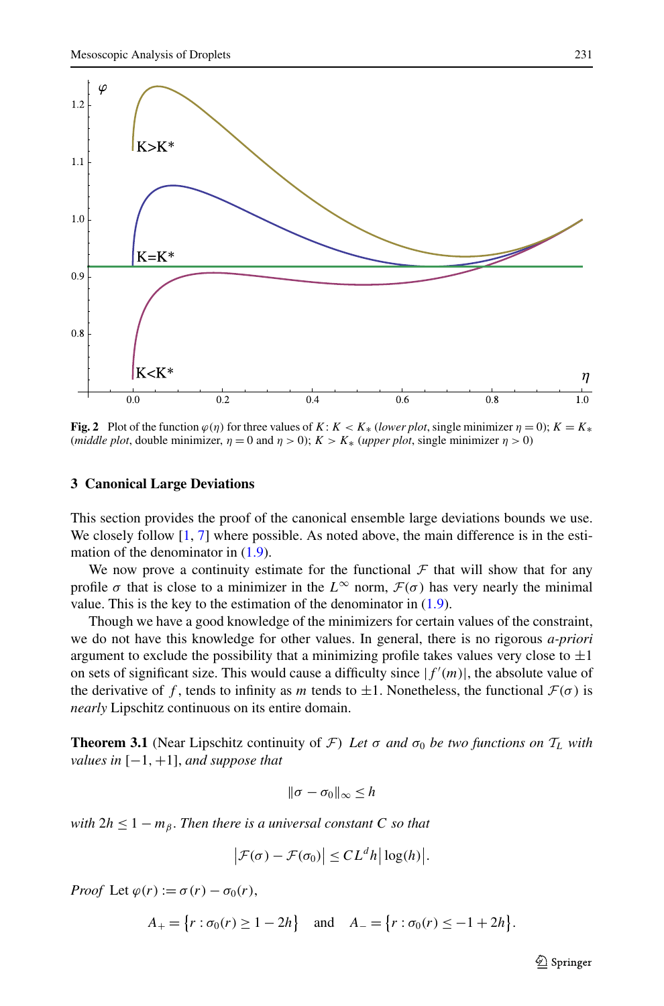

<span id="page-10-1"></span>**Fig. 2** Plot of the function  $\varphi(\eta)$  for three values of *K*:  $K < K_*$  (*lower plot*, single minimizer  $\eta = 0$ );  $K = K_*$ (*middle plot*, double minimizer,  $\eta = 0$  and  $\eta > 0$ );  $K > K_*$  (*upper plot*, single minimizer  $\eta > 0$ )

#### **3 Canonical Large Deviations**

This section provides the proof of the canonical ensemble large deviations bounds we use. We closely follow  $[1, 7]$  $[1, 7]$  $[1, 7]$  where possible. As noted above, the main difference is in the estimation of the denominator in  $(1.9)$  $(1.9)$ .

We now prove a continuity estimate for the functional  $\mathcal F$  that will show that for any profile  $\sigma$  that is close to a minimizer in the  $L^{\infty}$  norm,  $\mathcal{F}(\sigma)$  has very nearly the minimal value. This is the key to the estimation of the denominator in [\(1.9\)](#page-5-1).

<span id="page-10-0"></span>Though we have a good knowledge of the minimizers for certain values of the constraint, we do not have this knowledge for other values. In general, there is no rigorous *a-priori* argument to exclude the possibility that a minimizing profile takes values very close to  $\pm 1$ on sets of significant size. This would cause a difficulty since  $|f'(m)|$ , the absolute value of the derivative of f, tends to infinity as m tends to  $\pm 1$ . Nonetheless, the functional  $\mathcal{F}(\sigma)$  is *nearly* Lipschitz continuous on its entire domain.

**Theorem 3.1** (Near Lipschitz continuity of  $\mathcal{F}$ ) Let  $\sigma$  and  $\sigma_0$  be two functions on  $T_L$  with *values in* [−1*,*+1], *and suppose that*

$$
\|\sigma-\sigma_0\|_{\infty}\leq h
$$

*with*  $2h \leq 1 - m_B$ . *Then there is a universal constant C so that* 

$$
\left|\mathcal{F}(\sigma)-\mathcal{F}(\sigma_0)\right|\leq CL^dh\big|\log(h)\big|.
$$

*Proof* Let  $\varphi(r) := \sigma(r) - \sigma_0(r)$ ,

$$
A_{+} = \{r : \sigma_0(r) \ge 1 - 2h\} \quad \text{and} \quad A_{-} = \{r : \sigma_0(r) \le -1 + 2h\}.
$$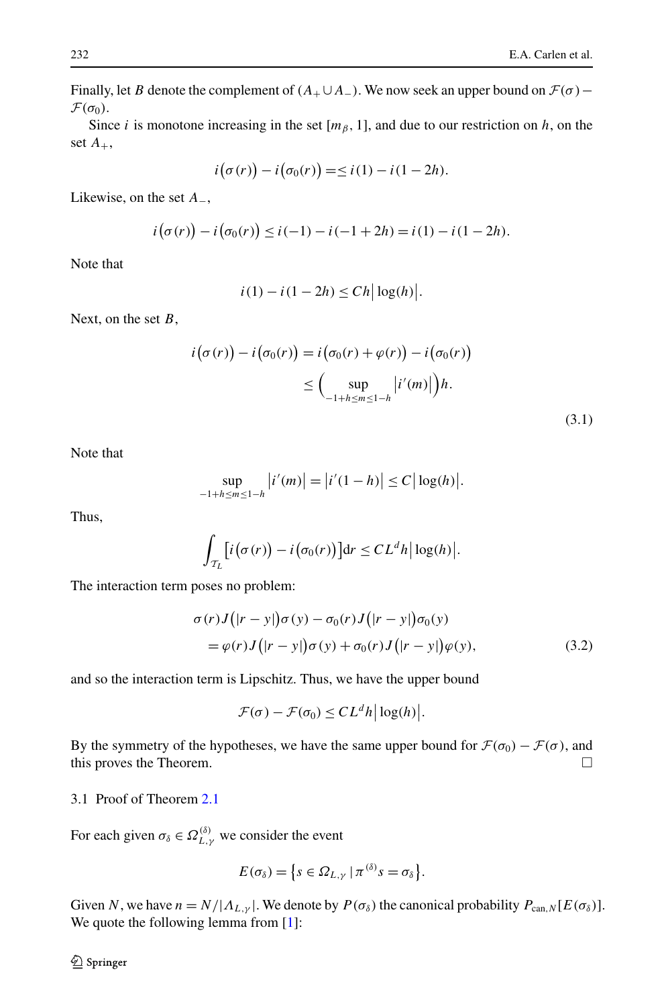Finally, let *B* denote the complement of  $(A_{+} \cup A_{-})$ . We now seek an upper bound on  $\mathcal{F}(\sigma)$  −  $\mathcal{F}(\sigma_0)$ .

Since *i* is monotone increasing in the set  $[m<sub>β</sub>, 1]$ , and due to our restriction on *h*, on the set  $A_+$ ,

$$
i(\sigma(r)) - i(\sigma_0(r)) = \leq i(1) - i(1 - 2h).
$$

Likewise, on the set *A*−,

$$
i(\sigma(r)) - i(\sigma_0(r)) \le i(-1) - i(-1+2h) = i(1) - i(1-2h).
$$

Note that

$$
i(1) - i(1 - 2h) \leq Ch \big| \log(h) \big|.
$$

Next, on the set *B*,

$$
i(\sigma(r)) - i(\sigma_0(r)) = i(\sigma_0(r) + \varphi(r)) - i(\sigma_0(r))
$$
  

$$
\leq \Big(\sup_{-1+h \leq m \leq 1-h} |i'(m)|\Big)h.
$$

| ٠ | u |  |
|---|---|--|

Note that

$$
\sup_{-1+h \le m \le 1-h} |i'(m)| = |i'(1-h)| \le C |\log(h)|.
$$

Thus,

$$
\int_{\mathcal{T}_L} \left[ i(\sigma(r)) - i(\sigma_0(r)) \right] dr \leq CL^dh |\log(h)|.
$$

The interaction term poses no problem:

$$
\sigma(r)J(|r-y|)\sigma(y) - \sigma_0(r)J(|r-y|)\sigma_0(y)
$$
  
=  $\varphi(r)J(|r-y|)\sigma(y) + \sigma_0(r)J(|r-y|)\varphi(y),$  (3.2)

and so the interaction term is Lipschitz. Thus, we have the upper bound

$$
\mathcal{F}(\sigma) - \mathcal{F}(\sigma_0) \leq CL^dh |\log(h)|.
$$

By the symmetry of the hypotheses, we have the same upper bound for  $\mathcal{F}(\sigma_0) - \mathcal{F}(\sigma)$ , and this proves the Theorem.  $\Box$ 

3.1 Proof of Theorem [2.1](#page-7-0)

For each given  $\sigma_{\delta} \in \Omega_{L,\gamma}^{(\delta)}$  we consider the event

$$
E(\sigma_{\delta}) = \{s \in \Omega_{L,\gamma} \mid \pi^{(\delta)}s = \sigma_{\delta}\}.
$$

Given *N*, we have  $n = N/|A_{L,\gamma}|$ . We denote by  $P(\sigma_{\delta})$  the canonical probability  $P_{\text{can},N}[E(\sigma_{\delta})]$ . We quote the following lemma from [[1\]](#page-15-1):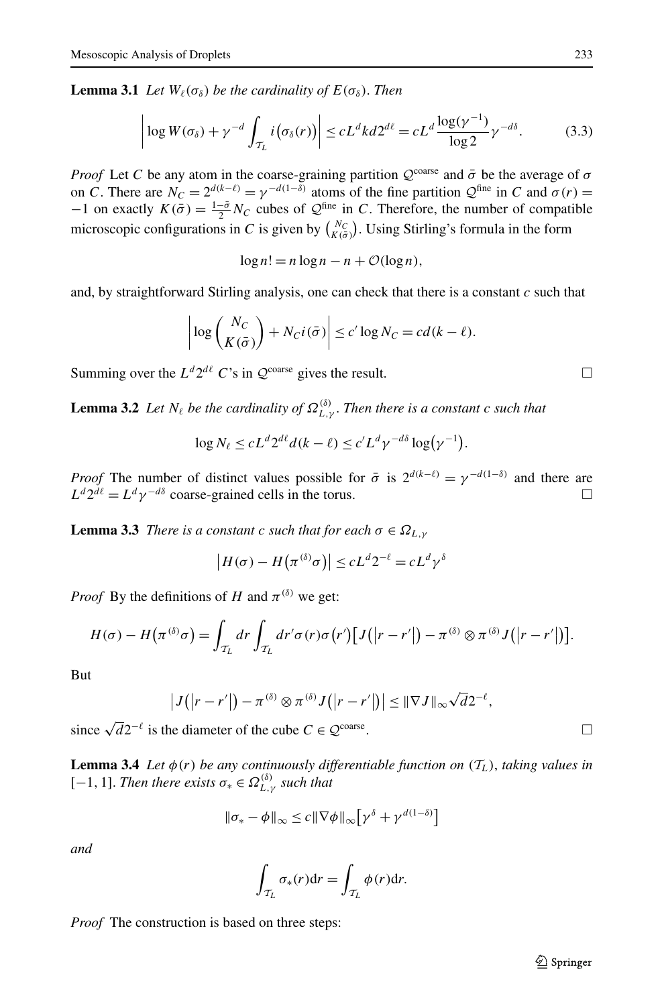<span id="page-12-0"></span>**Lemma 3.1** *Let*  $W_{\ell}(\sigma_{\delta})$  *be the cardinality of*  $E(\sigma_{\delta})$ *. Then* 

$$
\left| \log W(\sigma_{\delta}) + \gamma^{-d} \int_{\mathcal{T}_L} i(\sigma_{\delta}(r)) \right| \le c L^d k d 2^{d\ell} = c L^d \frac{\log(\gamma^{-1})}{\log 2} \gamma^{-d\delta}.
$$
 (3.3)

*Proof* Let *C* be any atom in the coarse-graining partition  $Q^{\text{coarse}}$  and  $\bar{\sigma}$  be the average of  $\sigma$ on *C*. There are  $N_C = 2^{d(k-\ell)} = \gamma^{-d(1-\delta)}$  atoms of the fine partition  $\mathcal{Q}^{\text{fine}}$  in *C* and  $\sigma(r) =$  $-1$  on exactly  $K(\bar{\sigma}) = \frac{1-\bar{\sigma}}{2} N_C$  cubes of  $\mathcal{Q}^{\text{fine}}$  in *C*. Therefore, the number of compatible microscopic configurations in *C* is given by  $\binom{N_C}{K(\bar{\sigma})}$ . Using Stirling's formula in the form

 $\log n! = n \log n - n + \mathcal{O}(\log n),$ 

<span id="page-12-3"></span>and, by straightforward Stirling analysis, one can check that there is a constant *c* such that

$$
\left| \log \binom{N_C}{K(\bar{\sigma})} + N_C i(\bar{\sigma}) \right| \le c' \log N_C = c d(k - \ell).
$$

Summing over the  $L^d 2^{d\ell}$  *C*'s in  $\mathcal{Q}^{\text{coarse}}$  gives the result.

<span id="page-12-1"></span>**Lemma 3.2** *Let*  $N_{\ell}$  *be the cardinality of*  $\Omega_{L,\gamma}^{(\delta)}$ . *Then there is a constant c such that* 

$$
\log N_{\ell} \le c L^d 2^{d\ell} d(k - \ell) \le c' L^d \gamma^{-d\delta} \log(\gamma^{-1}).
$$

*Proof* The number of distinct values possible for  $\bar{\sigma}$  is  $2^{d(k-\ell)} = \gamma^{-d(1-\delta)}$  and there are  $L^d 2^{d\ell} = L^d \gamma^{-d\delta}$  coarse-grained cells in the torus.

**Lemma 3.3** *There is a constant c such that for each*  $\sigma \in \Omega_{L,V}$ 

$$
|H(\sigma) - H(\pi^{(\delta)}\sigma)| \leq cL^d 2^{-\ell} = cL^d \gamma^{\delta}
$$

<span id="page-12-2"></span>*Proof* By the definitions of *H* and  $\pi^{(\delta)}$  we get:

$$
H(\sigma) - H(\pi^{(\delta)}\sigma) = \int_{\mathcal{T}_L} dr \int_{\mathcal{T}_L} dr' \sigma(r) \sigma(r') [J(|r-r'|) - \pi^{(\delta)} \otimes \pi^{(\delta)} J(|r-r'|)].
$$

But

$$
|J(|r-r'|)-\pi^{(\delta)}\otimes \pi^{(\delta)}J(|r-r'|)|\leq ||\nabla J||_{\infty}\sqrt{d}2^{-\ell},
$$

since  $\sqrt{d}2^{-\ell}$  is the diameter of the cube  $C \in \mathcal{Q}^{\text{coarse}}$ .  $\Box$ 

**Lemma 3.4** Let  $\phi(r)$  be any continuously differentiable function on  $(T_L)$ , taking values in [−1*,* 1]. *Then there exists σ*<sup>∗</sup> ∈ *Ω(δ) L,γ such that*

$$
\|\sigma_* - \phi\|_{\infty} \le c \|\nabla \phi\|_{\infty} \big[\gamma^{\delta} + \gamma^{d(1-\delta)}\big]
$$

*and*

$$
\int_{\mathcal{T}_L} \sigma_*(r) dr = \int_{\mathcal{T}_L} \phi(r) dr.
$$

*Proof* The construction is based on three steps: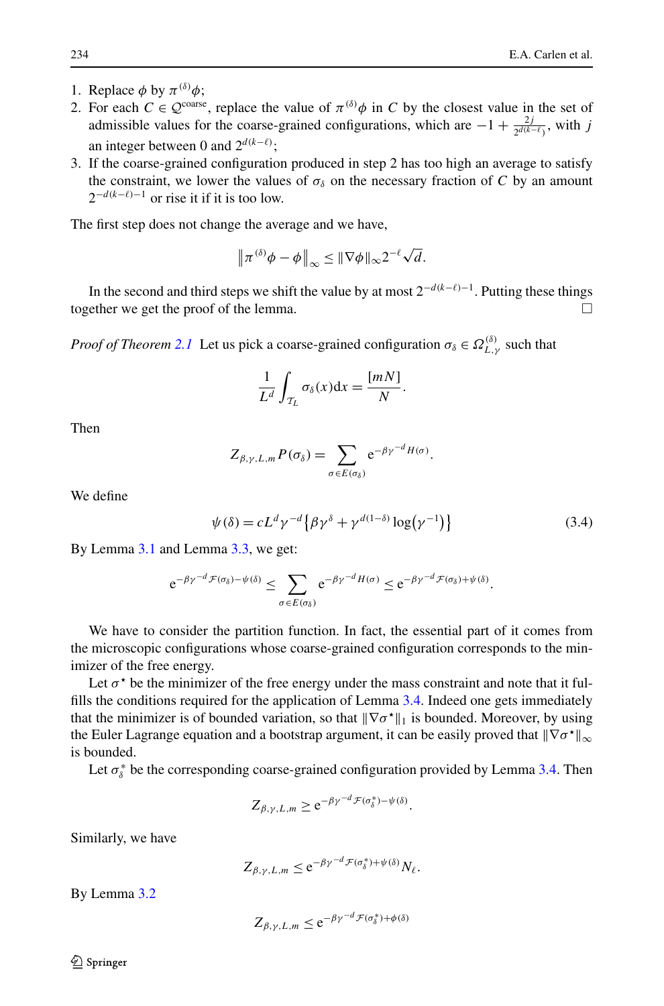- 1. Replace  $\phi$  by  $\pi^{(\delta)}\phi$ ;
- 2. For each  $C \in \mathcal{Q}^{\text{coarse}}$ , replace the value of  $\pi^{(\delta)}\phi$  in *C* by the closest value in the set of admissible values for the coarse-grained configurations, which are  $-1 + \frac{2j}{2^{d(k-\ell)}}$ , with *j* an integer between 0 and  $2^{d(k-\ell)}$ ;
- 3. If the coarse-grained configuration produced in step 2 has too high an average to satisfy the constraint, we lower the values of  $\sigma_{\delta}$  on the necessary fraction of *C* by an amount  $2^{-d(k-\ell)-1}$  or rise it if it is too low.

The first step does not change the average and we have,

$$
\|\pi^{(\delta)}\phi-\phi\|_{\infty}\leq \|\nabla\phi\|_{\infty}2^{-\ell}\sqrt{d}.
$$

In the second and third steps we shift the value by at most 2<sup>−</sup>*d(k*−*)*<sup>−</sup>1. Putting these things together we get the proof of the lemma.

*Proof of Theorem [2.1](#page-7-0)* Let us pick a coarse-grained configuration  $\sigma_{\delta} \in \Omega_{L,\gamma}^{(\delta)}$  such that

$$
\frac{1}{L^d} \int_{\mathcal{T}_L} \sigma_{\delta}(x) \mathrm{d}x = \frac{[mN]}{N}.
$$

Then

$$
Z_{\beta,\gamma,L,m} P(\sigma_\delta) = \sum_{\sigma \in E(\sigma_\delta)} e^{-\beta \gamma^{-d} H(\sigma)}.
$$

We define

$$
\psi(\delta) = cL^d \gamma^{-d} \left\{ \beta \gamma^{\delta} + \gamma^{d(1-\delta)} \log(\gamma^{-1}) \right\} \tag{3.4}
$$

By Lemma [3.1](#page-12-0) and Lemma [3.3,](#page-12-1) we get:

$$
e^{-\beta\gamma^{-d}\mathcal{F}(\sigma_{\delta})-\psi(\delta)} \leq \sum_{\sigma\in E(\sigma_{\delta})}e^{-\beta\gamma^{-d}H(\sigma)} \leq e^{-\beta\gamma^{-d}\mathcal{F}(\sigma_{\delta})+\psi(\delta)}.
$$

We have to consider the partition function. In fact, the essential part of it comes from the microscopic configurations whose coarse-grained configuration corresponds to the minimizer of the free energy.

Let  $\sigma^*$  be the minimizer of the free energy under the mass constraint and note that it fulfills the conditions required for the application of Lemma [3.4.](#page-12-2) Indeed one gets immediately that the minimizer is of bounded variation, so that  $\|\nabla \sigma^* \|_1$  is bounded. Moreover, by using the Euler Lagrange equation and a bootstrap argument, it can be easily proved that  $\|\nabla \sigma^*\|_{\infty}$ is bounded.

Let  $\sigma^*_{\delta}$  be the corresponding coarse-grained configuration provided by Lemma [3.4](#page-12-2). Then

$$
Z_{\beta,\gamma,L,m} \ge e^{-\beta \gamma^{-d} \mathcal{F}(\sigma_{\delta}^{*}) - \psi(\delta)}.
$$

Similarly, we have

$$
Z_{\beta,\gamma,L,m} \le e^{-\beta\gamma - d \mathcal{F}(\sigma_\delta^*) + \psi(\delta)} N_\ell.
$$

By Lemma [3.2](#page-12-3)

$$
Z_{\beta,\gamma,L,m} \le e^{-\beta \gamma^{-d} \mathcal{F}(\sigma_\delta^*) + \phi(\delta)}
$$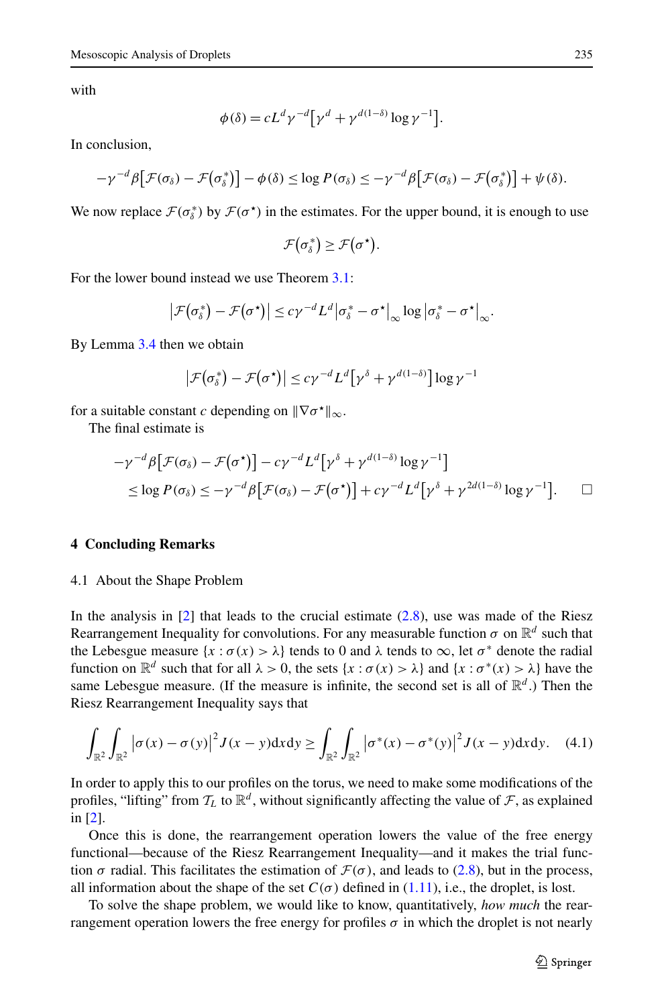with

$$
\phi(\delta) = cL^d \gamma^{-d} \big[ \gamma^d + \gamma^{d(1-\delta)} \log \gamma^{-1} \big].
$$

In conclusion,

$$
-\gamma^{-d}\beta\big[\mathcal{F}(\sigma_{\delta})-\mathcal{F}\big(\sigma_{\delta}^*\big)\big]-\phi(\delta)\leq\log P(\sigma_{\delta})\leq-\gamma^{-d}\beta\big[\mathcal{F}(\sigma_{\delta})-\mathcal{F}\big(\sigma_{\delta}^*\big)\big]+\psi(\delta).
$$

We now replace  $\mathcal{F}(\sigma^*)$  by  $\mathcal{F}(\sigma^*)$  in the estimates. For the upper bound, it is enough to use

$$
\mathcal{F}(\sigma_{\delta}^*) \geq \mathcal{F}(\sigma^*).
$$

For the lower bound instead we use Theorem [3.1:](#page-10-0)

$$
\left|\mathcal{F}\big(\sigma_{\delta}^{*}\big)-\mathcal{F}\big(\sigma^{*}\big)\right|\leq c\gamma^{-d}L^{d}\left|\sigma_{\delta}^{*}-\sigma^{*}\right|_{\infty}\log\left|\sigma_{\delta}^{*}-\sigma^{*}\right|_{\infty}.
$$

By Lemma [3.4](#page-12-2) then we obtain

$$
\left|\mathcal{F}(\sigma_{\delta}^{*})-\mathcal{F}(\sigma^{*})\right|\leq c\gamma^{-d}L^{d}\big[\gamma^{\delta}+\gamma^{d(1-\delta)}\big]\log\gamma^{-1}
$$

for a suitable constant *c* depending on  $\|\nabla \sigma^* \|_{\infty}$ .

The final estimate is

$$
-\gamma^{-d}\beta\big[\mathcal{F}(\sigma_{\delta})-\mathcal{F}(\sigma^{\star})\big]-c\gamma^{-d}L^{d}\big[\gamma^{\delta}+\gamma^{d(1-\delta)}\log\gamma^{-1}\big] \leq \log P(\sigma_{\delta}) \leq -\gamma^{-d}\beta\big[\mathcal{F}(\sigma_{\delta})-\mathcal{F}(\sigma^{\star})\big]+c\gamma^{-d}L^{d}\big[\gamma^{\delta}+\gamma^{2d(1-\delta)}\log\gamma^{-1}\big]. \qquad \Box
$$

## **4 Concluding Remarks**

#### 4.1 About the Shape Problem

In the analysis in [\[2\]](#page-15-0) that leads to the crucial estimate [\(2.8](#page-8-3)), use was made of the Riesz Rearrangement Inequality for convolutions. For any measurable function  $\sigma$  on  $\mathbb{R}^d$  such that the Lebesgue measure  $\{x : \sigma(x) > \lambda\}$  tends to 0 and  $\lambda$  tends to  $\infty$ , let  $\sigma^*$  denote the radial function on  $\mathbb{R}^d$  such that for all  $\lambda > 0$ , the sets  $\{x : \sigma(x) > \lambda\}$  and  $\{x : \sigma^*(x) > \lambda\}$  have the same Lebesgue measure. (If the measure is infinite, the second set is all of  $\mathbb{R}^d$ .) Then the Riesz Rearrangement Inequality says that

$$
\int_{\mathbb{R}^2} \int_{\mathbb{R}^2} \left| \sigma(x) - \sigma(y) \right|^2 J(x - y) \, \mathrm{d}x \, \mathrm{d}y \ge \int_{\mathbb{R}^2} \int_{\mathbb{R}^2} \left| \sigma^*(x) - \sigma^*(y) \right|^2 J(x - y) \, \mathrm{d}x \, \mathrm{d}y. \tag{4.1}
$$

In order to apply this to our profiles on the torus, we need to make some modifications of the profiles, "lifting" from  $\mathcal{T}_L$  to  $\mathbb{R}^d$ , without significantly affecting the value of  $\mathcal{F}$ , as explained in [[2](#page-15-0)].

Once this is done, the rearrangement operation lowers the value of the free energy functional—because of the Riesz Rearrangement Inequality—and it makes the trial function  $\sigma$  radial. This facilitates the estimation of  $\mathcal{F}(\sigma)$ , and leads to [\(2.8\)](#page-8-3), but in the process, all information about the shape of the set  $C(\sigma)$  defined in [\(1.11\)](#page-5-3), i.e., the droplet, is lost.

To solve the shape problem, we would like to know, quantitatively, *how much* the rearrangement operation lowers the free energy for profiles  $\sigma$  in which the droplet is not nearly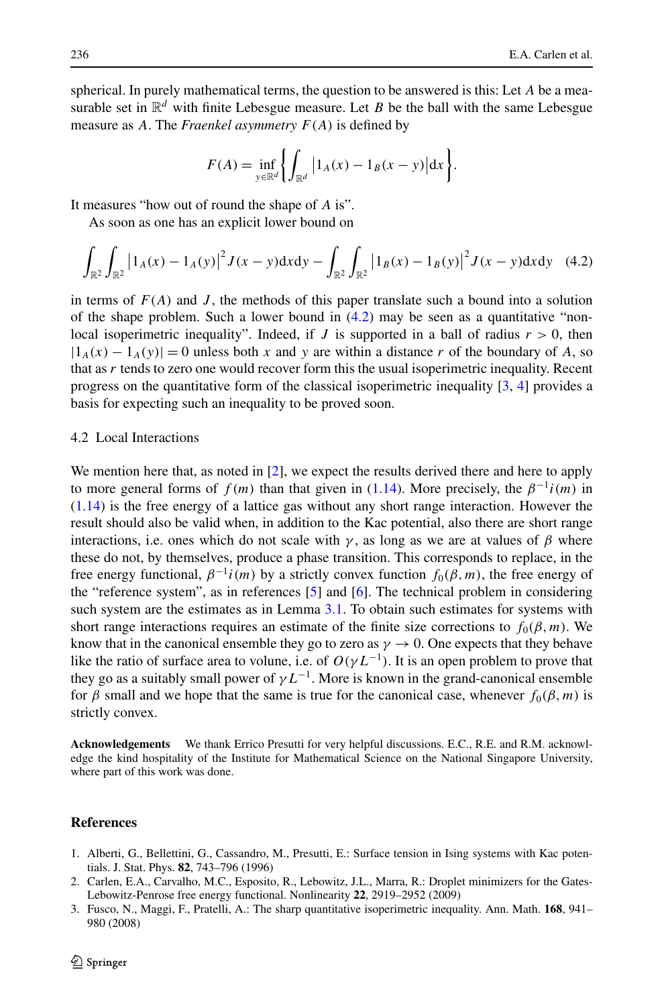spherical. In purely mathematical terms, the question to be answered is this: Let *A* be a measurable set in  $\mathbb{R}^d$  with finite Lebesgue measure. Let *B* be the ball with the same Lebesgue measure as *A*. The *Fraenkel asymmetry F(A)* is defined by

<span id="page-15-2"></span>
$$
F(A) = \inf_{y \in \mathbb{R}^d} \left\{ \int_{\mathbb{R}^d} |1_A(x) - 1_B(x - y)| dx \right\}.
$$

It measures "how out of round the shape of *A* is".

As soon as one has an explicit lower bound on

$$
\int_{\mathbb{R}^2} \int_{\mathbb{R}^2} \left| 1_A(x) - 1_A(y) \right|^2 J(x - y) \, \mathrm{d}x \, \mathrm{d}y - \int_{\mathbb{R}^2} \int_{\mathbb{R}^2} \left| 1_B(x) - 1_B(y) \right|^2 J(x - y) \, \mathrm{d}x \, \mathrm{d}y \tag{4.2}
$$

in terms of  $F(A)$  and  $J$ , the methods of this paper translate such a bound into a solution of the shape problem. Such a lower bound in  $(4.2)$  $(4.2)$  $(4.2)$  may be seen as a quantitative "nonlocal isoperimetric inequality". Indeed, if  $J$  is supported in a ball of radius  $r > 0$ , then  $|1_A(x) - 1_A(y)| = 0$  unless both x and y are within a distance r of the boundary of A, so that as *r* tends to zero one would recover form this the usual isoperimetric inequality. Recent progress on the quantitative form of the classical isoperimetric inequality [[3](#page-15-3), [4](#page-16-1)] provides a basis for expecting such an inequality to be proved soon.

## 4.2 Local Interactions

We mention here that, as noted in [\[2\]](#page-15-0), we expect the results derived there and here to apply to more general forms of  $f(m)$  than that given in [\(1.14\)](#page-6-0). More precisely, the  $\beta^{-1}i(m)$  in ([1.14\)](#page-6-0) is the free energy of a lattice gas without any short range interaction. However the result should also be valid when, in addition to the Kac potential, also there are short range interactions, i.e. ones which do not scale with  $\gamma$ , as long as we are at values of  $\beta$  where these do not, by themselves, produce a phase transition. This corresponds to replace, in the free energy functional,  $\beta^{-1}i(m)$  by a strictly convex function  $f_0(\beta,m)$ , the free energy of the "reference system", as in references  $[5]$  $[5]$  and  $[6]$  $[6]$ . The technical problem in considering such system are the estimates as in Lemma [3.1.](#page-12-0) To obtain such estimates for systems with short range interactions requires an estimate of the finite size corrections to  $f_0(\beta, m)$ . We know that in the canonical ensemble they go to zero as  $\gamma \to 0$ . One expects that they behave like the ratio of surface area to volune, i.e. of  $O(\gamma L^{-1})$ . It is an open problem to prove that they go as a suitably small power of  $\gamma L^{-1}$ . More is known in the grand-canonical ensemble for  $\beta$  small and we hope that the same is true for the canonical case, whenever  $f_0(\beta, m)$  is strictly convex.

<span id="page-15-3"></span><span id="page-15-1"></span><span id="page-15-0"></span>**Acknowledgements** We thank Errico Presutti for very helpful discussions. E.C., R.E. and R.M. acknowledge the kind hospitality of the Institute for Mathematical Science on the National Singapore University, where part of this work was done.

## **References**

- 1. Alberti, G., Bellettini, G., Cassandro, M., Presutti, E.: Surface tension in Ising systems with Kac potentials. J. Stat. Phys. **82**, 743–796 (1996)
- 2. Carlen, E.A., Carvalho, M.C., Esposito, R., Lebowitz, J.L., Marra, R.: Droplet minimizers for the Gates-Lebowitz-Penrose free energy functional. Nonlinearity **22**, 2919–2952 (2009)
- 3. Fusco, N., Maggi, F., Pratelli, A.: The sharp quantitative isoperimetric inequality. Ann. Math. **168**, 941– 980 (2008)